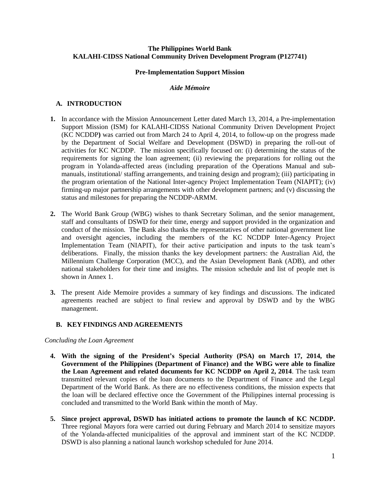### **The Philippines World Bank KALAHI-CIDSS National Community Driven Development Program (P127741)**

## **Pre-Implementation Support Mission**

### *Aide Mémoire*

## **A. INTRODUCTION**

- **1.** In accordance with the Mission Announcement Letter dated March 13, 2014, a Pre-implementation Support Mission (ISM) for KALAHI-CIDSS National Community Driven Development Project (KC NCDDP**)** was carried out from March 24 to April 4, 2014, to follow-up on the progress made by the Department of Social Welfare and Development (DSWD) in preparing the roll-out of activities for KC NCDDP. The mission specifically focused on: (i) determining the status of the requirements for signing the loan agreement; (ii) reviewing the preparations for rolling out the program in Yolanda-affected areas (including preparation of the Operations Manual and submanuals, institutional/ staffing arrangements, and training design and program); (iii) participating in the program orientation of the National Inter-agency Project Implementation Team (NIAPIT); (iv) firming-up major partnership arrangements with other development partners; and (v) discussing the status and milestones for preparing the NCDDP-ARMM.
- **2.** The World Bank Group (WBG) wishes to thank Secretary Soliman, and the senior management, staff and consultants of DSWD for their time, energy and support provided in the organization and conduct of the mission. The Bank also thanks the representatives of other national government line and oversight agencies, including the members of the KC NCDDP Inter-Agency Project Implementation Team (NIAPIT), for their active participation and inputs to the task team's deliberations. Finally, the mission thanks the key development partners: the Australian Aid, the Millennium Challenge Corporation (MCC), and the Asian Development Bank (ADB), and other national stakeholders for their time and insights. The mission schedule and list of people met is shown in Annex 1.
- **3.** The present Aide Memoire provides a summary of key findings and discussions. The indicated agreements reached are subject to final review and approval by DSWD and by the WBG management.

## **B. KEY FINDINGS AND AGREEMENTS**

#### *Concluding the Loan Agreement*

- **4. With the signing of the President's Special Authority (PSA) on March 17, 2014, the Government of the Philippines (Department of Finance) and the WBG were able to finalize the Loan Agreement and related documents for KC NCDDP on April 2, 2014**. The task team transmitted relevant copies of the loan documents to the Department of Finance and the Legal Department of the World Bank. As there are no effectiveness conditions, the mission expects that the loan will be declared effective once the Government of the Philippines internal processing is concluded and transmitted to the World Bank within the month of May.
- **5. Since project approval, DSWD has initiated actions to promote the launch of KC NCDDP.**  Three regional Mayors fora were carried out during February and March 2014 to sensitize mayors of the Yolanda-affected municipalities of the approval and imminent start of the KC NCDDP. DSWD is also planning a national launch workshop scheduled for June 2014.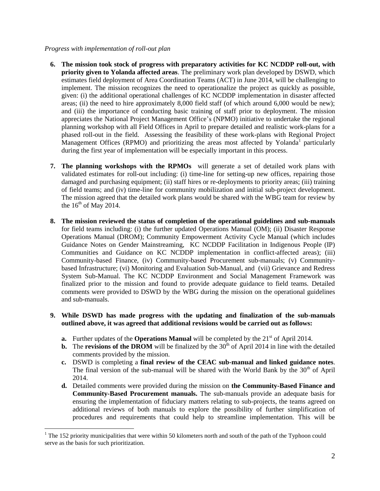## *Progress with implementation of roll-out plan*

 $\overline{a}$ 

- **6. The mission took stock of progress with preparatory activities for KC NCDDP roll-out, with priority given to Yolanda affected areas**. The preliminary work plan developed by DSWD, which estimates field deployment of Area Coordination Teams (ACT) in June 2014, will be challenging to implement. The mission recognizes the need to operationalize the project as quickly as possible, given: (i) the additional operational challenges of KC NCDDP implementation in disaster affected areas; (ii) the need to hire approximately 8,000 field staff (of which around 6,000 would be new); and (iii) the importance of conducting basic training of staff prior to deployment. The mission appreciates the National Project Management Office's (NPMO) initiative to undertake the regional planning workshop with all Field Offices in April to prepare detailed and realistic work-plans for a phased roll-out in the field. Assessing the feasibility of these work-plans with Regional Project Management Offices (RPMO) and prioritizing the areas most affected by Yolanda<sup>1</sup> particularly during the first year of implementation will be especially important in this process.
- **7. The planning workshops with the RPMOs** will generate a set of detailed work plans with validated estimates for roll-out including: (i) time-line for setting-up new offices, repairing those damaged and purchasing equipment; (ii) staff hires or re-deployments to priority areas; (iii) training of field teams; and (iv) time-line for community mobilization and initial sub-project development. The mission agreed that the detailed work plans would be shared with the WBG team for review by the  $16<sup>th</sup>$  of May 2014.
- **8. The mission reviewed the status of completion of the operational guidelines and sub-manuals** for field teams including: (i) the further updated Operations Manual (OM); (ii) Disaster Response Operations Manual (DROM); Community Empowerment Activity Cycle Manual (which includes Guidance Notes on Gender Mainstreaming, KC NCDDP Facilitation in Indigenous People (IP) Communities and Guidance on KC NCDDP implementation in conflict-affected areas); (iii) Community-based Finance, (iv) Community-based Procurement sub-manuals; (v) Communitybased Infrastructure; (vi) Monitoring and Evaluation Sub-Manual, and (vii) Grievance and Redress System Sub-Manual. The KC NCDDP Environment and Social Management Framework was finalized prior to the mission and found to provide adequate guidance to field teams. Detailed comments were provided to DSWD by the WBG during the mission on the operational guidelines and sub-manuals.

## **9. While DSWD has made progress with the updating and finalization of the sub-manuals outlined above, it was agreed that additional revisions would be carried out as follows:**

- **a.** Further updates of the **Operations Manual** will be completed by the 21<sup>st</sup> of April 2014.
- **b.** The **revisions of the DROM** will be finalized by the  $30<sup>th</sup>$  of April 2014 in line with the detailed comments provided by the mission.
- **c.** DSWD is completing a **final review of the CEAC sub-manual and linked guidance notes**. The final version of the sub-manual will be shared with the World Bank by the 30<sup>th</sup> of April 2014.
- **d.** Detailed comments were provided during the mission on **the Community-Based Finance and Community-Based Procurement manuals.** The sub-manuals provide an adequate basis for ensuring the implementation of fiduciary matters relating to sub-projects, the teams agreed on additional reviews of both manuals to explore the possibility of further simplification of procedures and requirements that could help to streamline implementation. This will be

<sup>&</sup>lt;sup>1</sup> The 152 priority municipalities that were within 50 kilometers north and south of the path of the Typhoon could serve as the basis for such prioritization.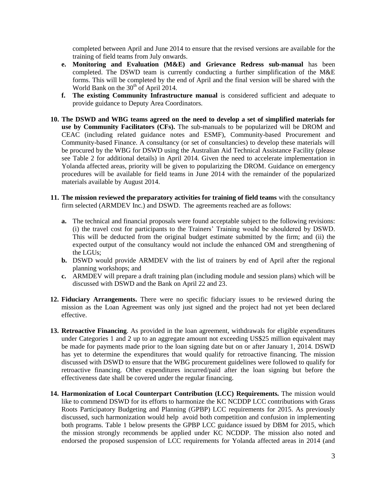completed between April and June 2014 to ensure that the revised versions are available for the training of field teams from July onwards.

- **e. Monitoring and Evaluation (M&E) and Grievance Redress sub-manual** has been completed. The DSWD team is currently conducting a further simplification of the M&E forms. This will be completed by the end of April and the final version will be shared with the World Bank on the  $30<sup>th</sup>$  of April 2014.
- **f. The existing Community Infrastructure manual** is considered sufficient and adequate to provide guidance to Deputy Area Coordinators.
- **10. The DSWD and WBG teams agreed on the need to develop a set of simplified materials for use by Community Facilitators (CFs).** The sub-manuals to be popularized will be DROM and CEAC (including related guidance notes and ESMF), Community-based Procurement and Community-based Finance. A consultancy (or set of consultancies) to develop these materials will be procured by the WBG for DSWD using the Australian Aid Technical Assistance Facility (please see Table 2 for additional details) in April 2014. Given the need to accelerate implementation in Yolanda affected areas, priority will be given to popularizing the DROM. Guidance on emergency procedures will be available for field teams in June 2014 with the remainder of the popularized materials available by August 2014.
- **11. The mission reviewed the preparatory activities for training of field teams** with the consultancy firm selected (ARMDEV Inc.) and DSWD. The agreements reached are as follows:
	- **a.** The technical and financial proposals were found acceptable subject to the following revisions: (i) the travel cost for participants to the Trainers' Training would be shouldered by DSWD. This will be deducted from the original budget estimate submitted by the firm; and (ii) the expected output of the consultancy would not include the enhanced OM and strengthening of the LGUs;
	- **b.** DSWD would provide ARMDEV with the list of trainers by end of April after the regional planning workshops; and
	- **c.** ARMDEV will prepare a draft training plan (including module and session plans) which will be discussed with DSWD and the Bank on April 22 and 23.
- **12. Fiduciary Arrangements.** There were no specific fiduciary issues to be reviewed during the mission as the Loan Agreement was only just signed and the project had not yet been declared effective.
- **13. Retroactive Financing**. As provided in the loan agreement, withdrawals for eligible expenditures under Categories 1 and 2 up to an aggregate amount not exceeding US\$25 million equivalent may be made for payments made prior to the loan signing date but on or after January 1, 2014. DSWD has yet to determine the expenditures that would qualify for retroactive financing. The mission discussed with DSWD to ensure that the WBG procurement guidelines were followed to qualify for retroactive financing. Other expenditures incurred/paid after the loan signing but before the effectiveness date shall be covered under the regular financing.
- **14. Harmonization of Local Counterpart Contribution (LCC) Requirements.** The mission would like to commend DSWD for its efforts to harmonize the KC NCDDP LCC contributions with Grass Roots Participatory Budgeting and Planning (GPBP) LCC requirements for 2015. As previously discussed, such harmonization would help avoid both competition and confusion in implementing both programs. Table 1 below presents the GPBP LCC guidance issued by DBM for 2015, which the mission strongly recommends be applied under KC NCDDP. The mission also noted and endorsed the proposed suspension of LCC requirements for Yolanda affected areas in 2014 (and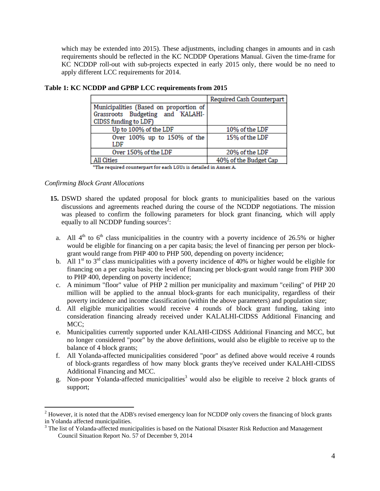which may be extended into 2015). These adjustments, including changes in amounts and in cash requirements should be reflected in the KC NCDDP Operations Manual. Given the time-frame for KC NCDDP roll-out with sub-projects expected in early 2015 only, there would be no need to apply different LCC requirements for 2014.

|                                                                            | Required Cash Counterpart |
|----------------------------------------------------------------------------|---------------------------|
| Municipalities (Based on proportion of<br>Grassroots Budgeting and KALAHI- |                           |
| CIDSS funding to LDF)                                                      |                           |
| Up to 100% of the LDF                                                      | 10% of the LDF            |
| Over 100% up to 150% of the<br>LDF                                         | 15% of the LDF            |
| Over 150% of the LDF                                                       | 20% of the LDF            |
| All Cities                                                                 | 40% of the Budget Cap     |

**Table 1: KC NCDDP and GPBP LCC requirements from 2015**

\*The required counterpart for each LGUs is detailed in Annex A.

*Confirming Block Grant Allocations*

 $\overline{a}$ 

- **15.** DSWD shared the updated proposal for block grants to municipalities based on the various discussions and agreements reached during the course of the NCDDP negotiations. The mission was pleased to confirm the following parameters for block grant financing, which will apply equally to all NCDDP funding sources<sup>2</sup>:
	- a. All  $4<sup>th</sup>$  to  $6<sup>th</sup>$  class municipalities in the country with a poverty incidence of 26.5% or higher would be eligible for financing on a per capita basis; the level of financing per person per blockgrant would range from PHP 400 to PHP 500, depending on poverty incidence;
	- b. All  $1<sup>st</sup>$  to  $3<sup>rd</sup>$  class municipalities with a poverty incidence of 40% or higher would be eligible for financing on a per capita basis; the level of financing per block-grant would range from PHP 300 to PHP 400, depending on poverty incidence;
	- c. A minimum "floor" value of PHP 2 million per municipality and maximum "ceiling" of PHP 20 million will be applied to the annual block-grants for each municipality, regardless of their poverty incidence and income classification (within the above parameters) and population size;
	- d. All eligible municipalities would receive 4 rounds of block grant funding, taking into consideration financing already received under KALALHI-CIDSS Additional Financing and MCC:
	- e. Municipalities currently supported under KALAHI-CIDSS Additional Financing and MCC, but no longer considered "poor" by the above definitions, would also be eligible to receive up to the balance of 4 block grants;
	- f. All Yolanda-affected municipalities considered "poor" as defined above would receive 4 rounds of block-grants regardless of how many block grants they've received under KALAHI-CIDSS Additional Financing and MCC.
	- g. Non-poor Yolanda-affected municipalities<sup>3</sup> would also be eligible to receive 2 block grants of support;

 $2$  However, it is noted that the ADB's revised emergency loan for NCDDP only covers the financing of block grants in Yolanda affected municipalities.

<sup>&</sup>lt;sup>3</sup> The list of Yolanda-affected municipalities is based on the National Disaster Risk Reduction and Management Council Situation Report No. 57 of December 9, 2014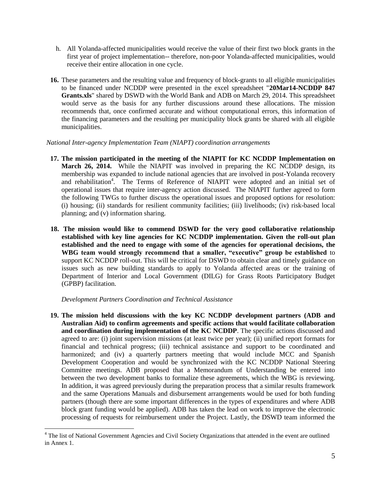- h. All Yolanda-affected municipalities would receive the value of their first two block grants in the first year of project implementation-- therefore, non-poor Yolanda-affected municipalities, would receive their entire allocation in one cycle.
- **16.** These parameters and the resulting value and frequency of block-grants to all eligible municipalities to be financed under NCDDP were presented in the excel spreadsheet "**20Mar14-NCDDP 847 Grants.xls**" shared by DSWD with the World Bank and ADB on March 29, 2014. This spreadsheet would serve as the basis for any further discussions around these allocations. The mission recommends that, once confirmed accurate and without computational errors, this information of the financing parameters and the resulting per municipality block grants be shared with all eligible municipalities.

## *National Inter-agency Implementation Team (NIAPT) coordination arrangements*

- **17. The mission participated in the meeting of the NIAPIT for KC NCDDP Implementation on March 26, 2014.** While the NIAPIT was involved in preparing the KC NCDDP design, its membership was expanded to include national agencies that are involved in post-Yolanda recovery and rehabilitation<sup>4</sup>. The Terms of Reference of NIAPIT were adopted and an initial set of operational issues that require inter-agency action discussed. The NIAPIT further agreed to form the following TWGs to further discuss the operational issues and proposed options for resolution: (i) housing; (ii) standards for resilient community facilities; (iii) livelihoods; (iv) risk-based local planning; and (v) information sharing.
- **18. The mission would like to commend DSWD for the very good collaborative relationship established with key line agencies for KC NCDDP implementation. Given the roll-out plan established and the need to engage with some of the agencies for operational decisions, the WBG team would strongly recommend that a smaller, "executive" group be established** to support KC NCDDP roll-out. This will be critical for DSWD to obtain clear and timely guidance on issues such as new building standards to apply to Yolanda affected areas or the training of Department of Interior and Local Government (DILG) for Grass Roots Participatory Budget (GPBP) facilitation.

## *Development Partners Coordination and Technical Assistance*

 $\overline{a}$ 

**19. The mission held discussions with the key KC NCDDP development partners (ADB and Australian Aid) to confirm agreements and specific actions that would facilitate collaboration and coordination during implementation of the KC NCDDP**. The specific actions discussed and agreed to are: (i) joint supervision missions (at least twice per year); (ii) unified report formats for financial and technical progress; (iii) technical assistance and support to be coordinated and harmonized; and (iv) a quarterly partners meeting that would include MCC and Spanish Development Cooperation and would be synchronized with the KC NCDDP National Steering Committee meetings. ADB proposed that a Memorandum of Understanding be entered into between the two development banks to formalize these agreements, which the WBG is reviewing. In addition, it was agreed previously during the preparation process that a similar results framework and the same Operations Manuals and disbursement arrangements would be used for both funding partners (though there are some important differences in the types of expenditures and where ADB block grant funding would be applied). ADB has taken the lead on work to improve the electronic processing of requests for reimbursement under the Project. Lastly, the DSWD team informed the

<sup>&</sup>lt;sup>4</sup> The list of National Government Agencies and Civil Society Organizations that attended in the event are outlined in Annex 1.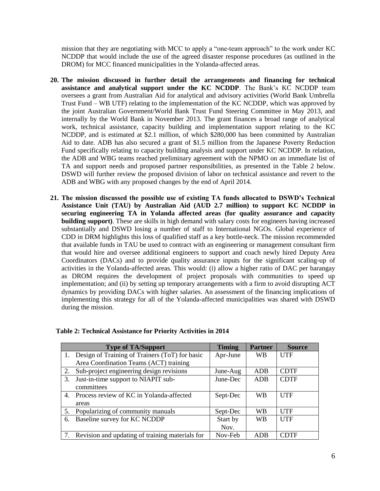mission that they are negotiating with MCC to apply a "one-team approach" to the work under KC NCDDP that would include the use of the agreed disaster response procedures (as outlined in the DROM) for MCC financed municipalities in the Yolanda-affected areas.

- **20. The mission discussed in further detail the arrangements and financing for technical assistance and analytical support under the KC NCDDP**. The Bank's KC NCDDP team oversees a grant from Australian Aid for analytical and advisory activities (World Bank Umbrella Trust Fund – WB UTF) relating to the implementation of the KC NCDDP, which was approved by the joint Australian Government/World Bank Trust Fund Steering Committee in May 2013, and internally by the World Bank in November 2013. The grant finances a broad range of analytical work, technical assistance, capacity building and implementation support relating to the KC NCDDP, and is estimated at \$2.1 million, of which \$280,000 has been committed by Australian Aid to date. ADB has also secured a grant of \$1.5 million from the Japanese Poverty Reduction Fund specifically relating to capacity building analysis and support under KC NCDDP. In relation, the ADB and WBG teams reached preliminary agreement with the NPMO on an immediate list of TA and support needs and proposed partner responsibilities, as presented in the Table 2 below. DSWD will further review the proposed division of labor on technical assistance and revert to the ADB and WBG with any proposed changes by the end of April 2014.
- **21. The mission discussed the possible use of existing TA funds allocated to DSWD's Technical Assistance Unit (TAU) by Australian Aid (AUD 2.7 million) to support KC NCDDP in securing engineering TA in Yolanda affected areas (for quality assurance and capacity building support)**. These are skills in high demand with salary costs for engineers having increased substantially and DSWD losing a number of staff to International NGOs. Global experience of CDD in DRM highlights this loss of qualified staff as a key bottle-neck. The mission recommended that available funds in TAU be used to contract with an engineering or management consultant firm that would hire and oversee additional engineers to support and coach newly hired Deputy Area Coordinators (DACs) and to provide quality assurance inputs for the significant scaling-up of activities in the Yolanda-affected areas. This would: (i) allow a higher ratio of DAC per barangay as DROM requires the development of project proposals with communities to speed up implementation; and (ii) by setting up temporary arrangements with a firm to avoid disrupting ACT dynamics by providing DACs with higher salaries. An assessment of the financing implications of implementing this strategy for all of the Yolanda-affected municipalities was shared with DSWD during the mission.

|    | <b>Type of TA/Support</b>                       | <b>Timing</b> | <b>Partner</b> | <b>Source</b> |
|----|-------------------------------------------------|---------------|----------------|---------------|
|    | Design of Training of Trainers (ToT) for basic  | Apr-June      | WВ             | <b>UTF</b>    |
|    | Area Coordination Teams (ACT) training          |               |                |               |
| 2. | Sub-project engineering design revisions        | June-Aug      | <b>ADB</b>     | <b>CDTF</b>   |
| 3. | Just-in-time support to NIAPIT sub-             | June-Dec      | <b>ADB</b>     | <b>CDTF</b>   |
|    | committees                                      |               |                |               |
| 4. | Process review of KC in Yolanda-affected        | Sept-Dec      | <b>WB</b>      | UTF           |
|    | areas                                           |               |                |               |
| 5. | Popularizing of community manuals               | Sept-Dec      | <b>WB</b>      | UTF           |
| 6. | Baseline survey for KC NCDDP                    | Start by      | <b>WB</b>      | <b>UTF</b>    |
|    |                                                 | Nov.          |                |               |
|    | Revision and updating of training materials for | Nov-Feb       | <b>ADB</b>     | CDTF          |

## **Table 2: Technical Assistance for Priority Activities in 2014**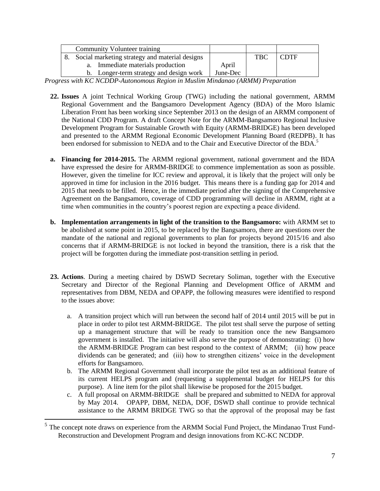|                                                | <b>Community Volunteer training</b>     |          |     |             |
|------------------------------------------------|-----------------------------------------|----------|-----|-------------|
| Social marketing strategy and material designs |                                         |          | TBC | <b>CDTF</b> |
|                                                | a. Immediate materials production       | April    |     |             |
|                                                | b. Longer-term strategy and design work | June-Dec |     |             |

*Progress with KC NCDDP-Autonomous Region in Muslim Mindanao (ARMM) Preparation* 

- **22. Issues** A joint Technical Working Group (TWG) including the national government, ARMM Regional Government and the Bangsamoro Development Agency (BDA) of the Moro Islamic Liberation Front has been working since September 2013 on the design of an ARMM component of the National CDD Program. A draft Concept Note for the ARMM-Bangsamoro Regional Inclusive Development Program for Sustainable Growth with Equity (ARMM-BRIDGE) has been developed and presented to the ARMM Regional Economic Development Planning Board (REDPB). It has been endorsed for submission to NEDA and to the Chair and Executive Director of the BDA.<sup>5</sup>
- **a. Financing for 2014-2015.** The ARMM regional government, national government and the BDA have expressed the desire for ARMM-BRIDGE to commence implementation as soon as possible. However, given the timeline for ICC review and approval, it is likely that the project will only be approved in time for inclusion in the 2016 budget. This means there is a funding gap for 2014 and 2015 that needs to be filled. Hence, in the immediate period after the signing of the Comprehensive Agreement on the Bangsamoro, coverage of CDD programming will decline in ARMM, right at a time when communities in the country's poorest region are expecting a peace dividend.
- **b. Implementation arrangements in light of the transition to the Bangsamoro:** with ARMM set to be abolished at some point in 2015, to be replaced by the Bangsamoro, there are questions over the mandate of the national and regional governments to plan for projects beyond 2015/16 and also concerns that if ARMM-BRIDGE is not locked in beyond the transition, there is a risk that the project will be forgotten during the immediate post-transition settling in period.
- **23. Actions**. During a meeting chaired by DSWD Secretary Soliman, together with the Executive Secretary and Director of the Regional Planning and Development Office of ARMM and representatives from DBM, NEDA and OPAPP, the following measures were identified to respond to the issues above:
	- a. A transition project which will run between the second half of 2014 until 2015 will be put in place in order to pilot test ARMM-BRIDGE. The pilot test shall serve the purpose of setting up a management structure that will be ready to transition once the new Bangsamoro government is installed. The initiative will also serve the purpose of demonstrating: (i) how the ARMM-BRIDGE Program can best respond to the context of ARMM; (ii) how peace dividends can be generated; and (iii) how to strengthen citizens' voice in the development efforts for Bangsamoro.
	- b. The ARMM Regional Government shall incorporate the pilot test as an additional feature of its current HELPS program and (requesting a supplemental budget for HELPS for this purpose). A line item for the pilot shall likewise be proposed for the 2015 budget.
	- c. A full proposal on ARMM-BRIDGE shall be prepared and submitted to NEDA for approval by May 2014. OPAPP, DBM, NEDA, DOF, DSWD shall continue to provide technical assistance to the ARMM BRIDGE TWG so that the approval of the proposal may be fast

 $\overline{a}$ 

 $<sup>5</sup>$  The concept note draws on experience from the ARMM Social Fund Project, the Mindanao Trust Fund-</sup> Reconstruction and Development Program and design innovations from KC-KC NCDDP.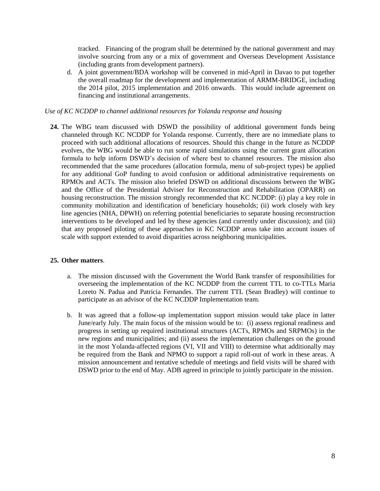tracked. Financing of the program shall be determined by the national government and may involve sourcing from any or a mix of government and Overseas Development Assistance (including grants from development partners).

d. A joint government/BDA workshop will be convened in mid-April in Davao to put together the overall roadmap for the development and implementation of ARMM-BRIDGE, including the 2014 pilot, 2015 implementation and 2016 onwards. This would include agreement on financing and institutional arrangements.

## *Use of KC NCDDP to channel additional resources for Yolanda response and housing*

**24.** The WBG team discussed with DSWD the possibility of additional government funds being channeled through KC NCDDP for Yolanda response. Currently, there are no immediate plans to proceed with such additional allocations of resources. Should this change in the future as NCDDP evolves, the WBG would be able to run some rapid simulations using the current grant allocation formula to help inform DSWD's decision of where best to channel resources. The mission also recommended that the same procedures (allocation formula, menu of sub-project types) be applied for any additional GoP funding to avoid confusion or additional administrative requirements on RPMOs and ACTs. The mission also briefed DSWD on additional discussions between the WBG and the Office of the Presidential Adviser for Reconstruction and Rehabilitation (OPARR) on housing reconstruction. The mission strongly recommended that KC NCDDP: (i) play a key role in community mobilization and identification of beneficiary households; (ii) work closely with key line agencies (NHA, DPWH) on referring potential beneficiaries to separate housing reconstruction interventions to be developed and led by these agencies (and currently under discussion); and (iii) that any proposed piloting of these approaches in KC NCDDP areas take into account issues of scale with support extended to avoid disparities across neighboring municipalities.

#### **25. Other matters**.

- a. The mission discussed with the Government the World Bank transfer of responsibilities for overseeing the implementation of the KC NCDDP from the current TTL to co-TTLs Maria Loreto N. Padua and Patricia Fernandes. The current TTL (Sean Bradley) will continue to participate as an advisor of the KC NCDDP Implementation team.
- b. It was agreed that a follow-up implementation support mission would take place in latter June/early July. The main focus of the mission would be to: (i) assess regional readiness and progress in setting up required institutional structures (ACTs, RPMOs and SRPMOs) in the new regions and municipalities; and (ii) assess the implementation challenges on the ground in the most Yolanda-affected regions (VI, VII and VIII) to determine what additionally may be required from the Bank and NPMO to support a rapid roll-out of work in these areas. A mission announcement and tentative schedule of meetings and field visits will be shared with DSWD prior to the end of May. ADB agreed in principle to jointly participate in the mission.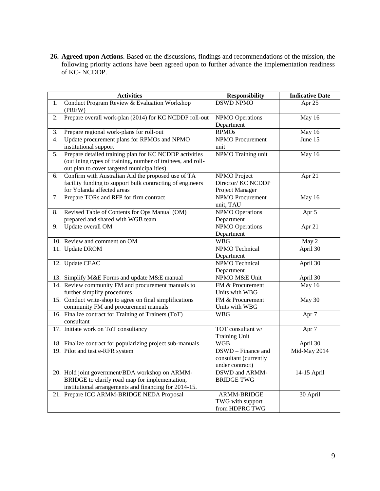**26. Agreed upon Actions**. Based on the discussions, findings and recommendations of the mission, the following priority actions have been agreed upon to further advance the implementation readiness of KC- NCDDP.

|    | <b>Activities</b>                                           | <b>Responsibility</b>   | <b>Indicative Date</b> |
|----|-------------------------------------------------------------|-------------------------|------------------------|
| 1. | Conduct Program Review & Evaluation Workshop<br>(PREW)      | <b>DSWD NPMO</b>        | Apr 25                 |
| 2. | Prepare overall work-plan (2014) for KC NCDDP roll-out      | <b>NPMO</b> Operations  | May 16                 |
|    |                                                             | Department              |                        |
| 3. | Prepare regional work-plans for roll-out                    | <b>RPMOs</b>            | May 16                 |
| 4. | Update procurement plans for RPMOs and NPMO                 | <b>NPMO</b> Procurement | June $15$              |
|    | institutional support                                       | unit                    |                        |
| 5. | Prepare detailed training plan for KC NCDDP activities      | NPMO Training unit      | May 16                 |
|    | (outlining types of training, number of trainees, and roll- |                         |                        |
|    | out plan to cover targeted municipalities)                  |                         |                        |
| 6. | Confirm with Australian Aid the proposed use of TA          | NPMO Project            | Apr 21                 |
|    | facility funding to support bulk contracting of engineers   | Director/ KC NCDDP      |                        |
|    | for Yolanda affected areas                                  | Project Manager         |                        |
| 7. | Prepare TORs and RFP for firm contract                      | <b>NPMO</b> Procurement | May 16                 |
|    |                                                             | unit, TAU               |                        |
| 8. | Revised Table of Contents for Ops Manual (OM)               | <b>NPMO</b> Operations  | Apr 5                  |
|    | prepared and shared with WGB team                           | Department              |                        |
| 9. | Update overall OM                                           | <b>NPMO</b> Operations  | Apr 21                 |
|    |                                                             | Department              |                        |
|    | 10. Review and comment on OM                                | <b>WBG</b>              | May 2                  |
|    | 11. Update DROM                                             | NPMO Technical          | April 30               |
|    |                                                             | Department              |                        |
|    | 12. Update CEAC                                             | NPMO Technical          | April 30               |
|    |                                                             | Department              |                        |
|    | 13. Simplify M&E Forms and update M&E manual                | NPMO M&E Unit           | April 30               |
|    | 14. Review community FM and procurement manuals to          | FM & Procurement        | May 16                 |
|    | further simplify procedures                                 | Units with WBG          |                        |
|    | 15. Conduct write-shop to agree on final simplifications    | FM & Procurement        | May 30                 |
|    | community FM and procurement manuals                        | Units with WBG          |                        |
|    | 16. Finalize contract for Training of Trainers (ToT)        | <b>WBG</b>              | Apr <sub>7</sub>       |
|    | consultant                                                  |                         |                        |
|    | 17. Initiate work on ToT consultancy                        | TOT consultant w/       | Apr <sub>7</sub>       |
|    |                                                             | <b>Training Unit</b>    |                        |
|    | 18. Finalize contract for popularizing project sub-manuals  | <b>WGB</b>              | April 30               |
|    | 19. Pilot and test e-RFR system                             | DSWD - Finance and      | Mid-May 2014           |
|    |                                                             | consultant (currently   |                        |
|    |                                                             | under contract)         |                        |
|    | 20. Hold joint government/BDA workshop on ARMM-             | DSWD and ARMM-          | 14-15 April            |
|    | BRIDGE to clarify road map for implementation,              | <b>BRIDGE TWG</b>       |                        |
|    | institutional arrangements and financing for 2014-15.       |                         |                        |
|    | 21. Prepare ICC ARMM-BRIDGE NEDA Proposal                   | ARMM-BRIDGE             | 30 April               |
|    |                                                             | TWG with support        |                        |
|    |                                                             | from HDPRC TWG          |                        |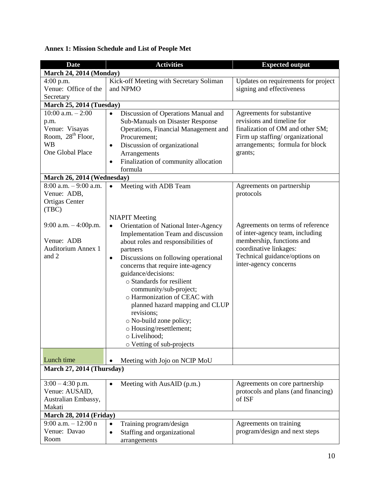# **Annex 1: Mission Schedule and List of People Met**

| <b>Date</b>                   | <b>Activities</b>                                 | <b>Expected output</b>              |  |  |  |  |
|-------------------------------|---------------------------------------------------|-------------------------------------|--|--|--|--|
| March 24, 2014 (Monday)       |                                                   |                                     |  |  |  |  |
| $4:00$ p.m.                   | Kick-off Meeting with Secretary Soliman           | Updates on requirements for project |  |  |  |  |
| Venue: Office of the          | and NPMO                                          | signing and effectiveness           |  |  |  |  |
| Secretary                     |                                                   |                                     |  |  |  |  |
| March 25, 2014 (Tuesday)      |                                                   |                                     |  |  |  |  |
| 10:00 a.m. $-2:00$            | Discussion of Operations Manual and<br>$\bullet$  | Agreements for substantive          |  |  |  |  |
| p.m.                          | <b>Sub-Manuals on Disaster Response</b>           | revisions and timeline for          |  |  |  |  |
| Venue: Visayas                | Operations, Financial Management and              | finalization of OM and other SM;    |  |  |  |  |
| Room, 28 <sup>th</sup> Floor, | Procurement;                                      | Firm up staffing/ organizational    |  |  |  |  |
| <b>WB</b>                     | Discussion of organizational<br>$\bullet$         | arrangements; formula for block     |  |  |  |  |
| One Global Place              | Arrangements                                      | grants;                             |  |  |  |  |
|                               | Finalization of community allocation<br>$\bullet$ |                                     |  |  |  |  |
|                               | formula                                           |                                     |  |  |  |  |
| March 26, 2014 (Wednesday)    |                                                   |                                     |  |  |  |  |
| $8:00$ a.m. $-9:00$ a.m.      | Meeting with ADB Team                             | Agreements on partnership           |  |  |  |  |
| Venue: ADB,                   |                                                   | protocols                           |  |  |  |  |
| <b>Ortigas Center</b>         |                                                   |                                     |  |  |  |  |
| (TBC)                         |                                                   |                                     |  |  |  |  |
|                               | <b>NIAPIT</b> Meeting                             |                                     |  |  |  |  |
| 9:00 a.m. - 4:00p.m.          | Orientation of National Inter-Agency<br>$\bullet$ | Agreements on terms of reference    |  |  |  |  |
|                               | Implementation Team and discussion                | of inter-agency team, including     |  |  |  |  |
| Venue: ADB                    | about roles and responsibilities of               | membership, functions and           |  |  |  |  |
| <b>Auditorium Annex 1</b>     | partners                                          | coordinative linkages:              |  |  |  |  |
| and 2                         | Discussions on following operational<br>$\bullet$ | Technical guidance/options on       |  |  |  |  |
|                               | concerns that require inte-agency                 | inter-agency concerns               |  |  |  |  |
|                               | guidance/decisions:                               |                                     |  |  |  |  |
|                               | o Standards for resilient                         |                                     |  |  |  |  |
|                               | community/sub-project;                            |                                     |  |  |  |  |
|                               | o Harmonization of CEAC with                      |                                     |  |  |  |  |
|                               | planned hazard mapping and CLUP                   |                                     |  |  |  |  |
|                               | revisions;                                        |                                     |  |  |  |  |
|                               | o No-build zone policy;                           |                                     |  |  |  |  |
|                               | o Housing/resettlement;                           |                                     |  |  |  |  |
|                               | o Livelihood;                                     |                                     |  |  |  |  |
|                               | o Vetting of sub-projects                         |                                     |  |  |  |  |
| Lunch time                    | Meeting with Jojo on NCIP MoU                     |                                     |  |  |  |  |
| March 27, 2014 (Thursday)     |                                                   |                                     |  |  |  |  |
|                               |                                                   |                                     |  |  |  |  |
| $3:00 - 4:30$ p.m.            | Meeting with AusAID (p.m.)<br>$\bullet$           | Agreements on core partnership      |  |  |  |  |
| Venue: AUSAID,                |                                                   | protocols and plans (and financing) |  |  |  |  |
| Australian Embassy,           |                                                   | of ISF                              |  |  |  |  |
| Makati                        |                                                   |                                     |  |  |  |  |
|                               | <b>March 28, 2014 (Friday)</b>                    |                                     |  |  |  |  |
| $9:00$ a.m. $-12:00$ n        | Training program/design<br>$\bullet$              | Agreements on training              |  |  |  |  |
| Venue: Davao                  | Staffing and organizational<br>$\bullet$          | program/design and next steps       |  |  |  |  |
| Room                          | arrangements                                      |                                     |  |  |  |  |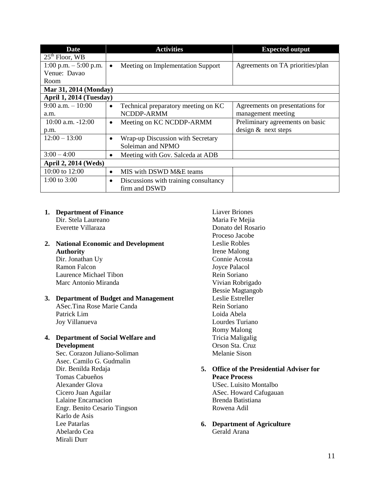| <b>Date</b>                 | <b>Activities</b>                                  | <b>Expected output</b>           |
|-----------------------------|----------------------------------------------------|----------------------------------|
| $25th$ Floor, WB            |                                                    |                                  |
| 1:00 p.m. $-$ 5:00 p.m.     | Meeting on Implementation Support<br>$\bullet$     | Agreements on TA priorities/plan |
| Venue: Davao                |                                                    |                                  |
| <b>Room</b>                 |                                                    |                                  |
| Mar 31, 2014 (Monday)       |                                                    |                                  |
| April 1, 2014 (Tuesday)     |                                                    |                                  |
| $9:00$ a.m. $-10:00$        | Technical preparatory meeting on KC<br>$\bullet$   | Agreements on presentations for  |
| a.m.                        | NCDDP-ARMM                                         | management meeting               |
| $10:00$ a.m. $-12:00$       | Meeting on KC NCDDP-ARMM<br>٠                      | Preliminary agreements on basic  |
| p.m.                        |                                                    | design & next steps              |
| $12:00 - 13:00$             | Wrap-up Discussion with Secretary<br>$\bullet$     |                                  |
|                             | Soleiman and NPMO                                  |                                  |
| $3:00 - 4:00$               | Meeting with Gov. Salceda at ADB<br>$\bullet$      |                                  |
| <b>April 2, 2014 (Weds)</b> |                                                    |                                  |
| 10:00 to 12:00              | MIS with DSWD M&E teams<br>$\bullet$               |                                  |
| 1:00 to $3:00$              | Discussions with training consultancy<br>$\bullet$ |                                  |
|                             | firm and DSWD                                      |                                  |

## **1. Department of Finance**

Dir. Stela Laureano Everette Villaraza

## **2. National Economic and Development Authority** Dir. Jonathan Uy

Ramon Falcon Laurence Michael Tibon Marc Antonio Miranda

### **3. Department of Budget and Management** ASec.Tina Rose Marie Canda Patrick Lim

Joy Villanueva

## **4. Department of Social Welfare and Development**

Sec. Corazon Juliano-Soliman Asec. Camilo G. Gudmalin Dir. Benilda Redaja Tomas Cabueños Alexander Glova Cicero Juan Aguilar Lalaine Encarnacion Engr. Benito Cesario Tingson Karlo de Asis Lee Patarlas Abelardo Cea Mirali Durr

Liaver Briones Maria Fe Mejia Donato del Rosario Proceso Jacobe Leslie Robles Irene Malong Connie Acosta Joyce Palacol Rein Soriano Vivian Robrigado Bessie Magtangob Leslie Estreller Rein Soriano Loida Abela Lourdes Turiano Romy Malong Tricia Maligalig Orson Sta. Cruz Melanie Sison

#### **5. Office of the Presidential Adviser for Peace Process**

USec. Luisito Montalbo ASec. Howard Cafugauan Brenda Batistiana Rowena Adil

## **6. Department of Agriculture** Gerald Arana